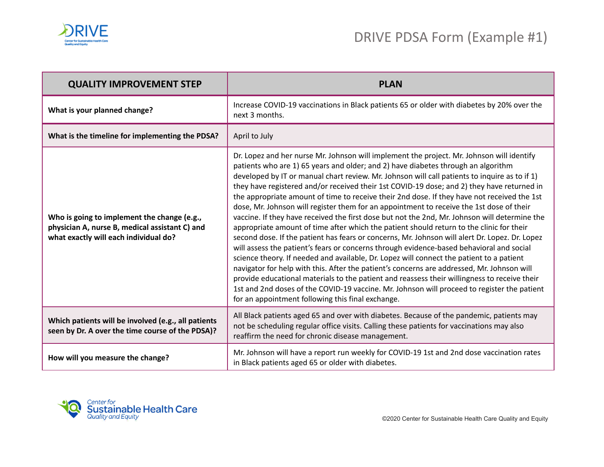

| <b>QUALITY IMPROVEMENT STEP</b>                                                                                                        | <b>PLAN</b>                                                                                                                                                                                                                                                                                                                                                                                                                                                                                                                                                                                                                                                                                                                                                                                                                                                                                                                                                                                                                                                                                                                                                                                                                                                                                                                                                                                                       |
|----------------------------------------------------------------------------------------------------------------------------------------|-------------------------------------------------------------------------------------------------------------------------------------------------------------------------------------------------------------------------------------------------------------------------------------------------------------------------------------------------------------------------------------------------------------------------------------------------------------------------------------------------------------------------------------------------------------------------------------------------------------------------------------------------------------------------------------------------------------------------------------------------------------------------------------------------------------------------------------------------------------------------------------------------------------------------------------------------------------------------------------------------------------------------------------------------------------------------------------------------------------------------------------------------------------------------------------------------------------------------------------------------------------------------------------------------------------------------------------------------------------------------------------------------------------------|
| What is your planned change?                                                                                                           | Increase COVID-19 vaccinations in Black patients 65 or older with diabetes by 20% over the<br>next 3 months.                                                                                                                                                                                                                                                                                                                                                                                                                                                                                                                                                                                                                                                                                                                                                                                                                                                                                                                                                                                                                                                                                                                                                                                                                                                                                                      |
| What is the timeline for implementing the PDSA?                                                                                        | April to July                                                                                                                                                                                                                                                                                                                                                                                                                                                                                                                                                                                                                                                                                                                                                                                                                                                                                                                                                                                                                                                                                                                                                                                                                                                                                                                                                                                                     |
| Who is going to implement the change (e.g.,<br>physician A, nurse B, medical assistant C) and<br>what exactly will each individual do? | Dr. Lopez and her nurse Mr. Johnson will implement the project. Mr. Johnson will identify<br>patients who are 1) 65 years and older; and 2) have diabetes through an algorithm<br>developed by IT or manual chart review. Mr. Johnson will call patients to inquire as to if 1)<br>they have registered and/or received their 1st COVID-19 dose; and 2) they have returned in<br>the appropriate amount of time to receive their 2nd dose. If they have not received the 1st<br>dose, Mr. Johnson will register them for an appointment to receive the 1st dose of their<br>vaccine. If they have received the first dose but not the 2nd, Mr. Johnson will determine the<br>appropriate amount of time after which the patient should return to the clinic for their<br>second dose. If the patient has fears or concerns, Mr. Johnson will alert Dr. Lopez. Dr. Lopez<br>will assess the patient's fears or concerns through evidence-based behavioral and social<br>science theory. If needed and available, Dr. Lopez will connect the patient to a patient<br>navigator for help with this. After the patient's concerns are addressed, Mr. Johnson will<br>provide educational materials to the patient and reassess their willingness to receive their<br>1st and 2nd doses of the COVID-19 vaccine. Mr. Johnson will proceed to register the patient<br>for an appointment following this final exchange. |
| Which patients will be involved (e.g., all patients<br>seen by Dr. A over the time course of the PDSA)?                                | All Black patients aged 65 and over with diabetes. Because of the pandemic, patients may<br>not be scheduling regular office visits. Calling these patients for vaccinations may also<br>reaffirm the need for chronic disease management.                                                                                                                                                                                                                                                                                                                                                                                                                                                                                                                                                                                                                                                                                                                                                                                                                                                                                                                                                                                                                                                                                                                                                                        |
| How will you measure the change?                                                                                                       | Mr. Johnson will have a report run weekly for COVID-19 1st and 2nd dose vaccination rates<br>in Black patients aged 65 or older with diabetes.                                                                                                                                                                                                                                                                                                                                                                                                                                                                                                                                                                                                                                                                                                                                                                                                                                                                                                                                                                                                                                                                                                                                                                                                                                                                    |